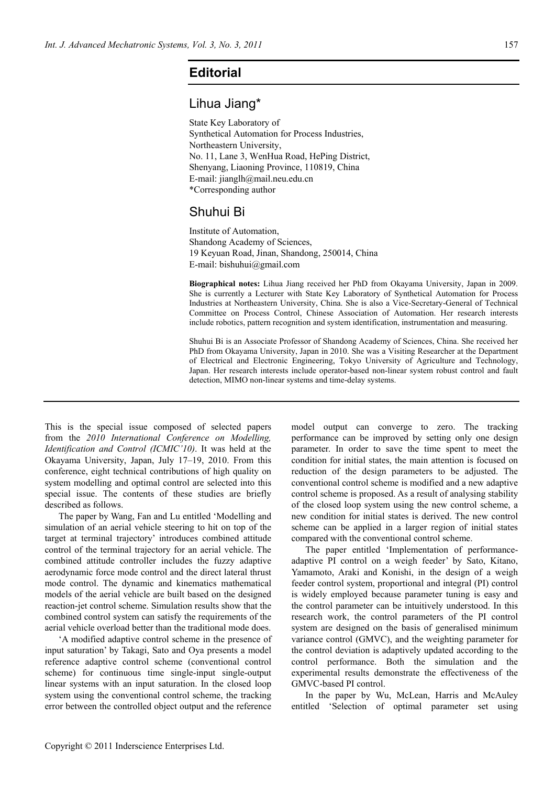## **Editorial**

## Lihua Jiang\*

State Key Laboratory of Synthetical Automation for Process Industries, Northeastern University, No. 11, Lane 3, WenHua Road, HePing District, Shenyang, Liaoning Province, 110819, China E-mail: jianglh@mail.neu.edu.cn \*Corresponding author

## Shuhui Bi

Institute of Automation, Shandong Academy of Sciences, 19 Keyuan Road, Jinan, Shandong, 250014, China E-mail: bishuhui@gmail.com

**Biographical notes:** Lihua Jiang received her PhD from Okayama University, Japan in 2009. She is currently a Lecturer with State Key Laboratory of Synthetical Automation for Process Industries at Northeastern University, China. She is also a Vice-Secretary-General of Technical Committee on Process Control, Chinese Association of Automation. Her research interests include robotics, pattern recognition and system identification, instrumentation and measuring.

Shuhui Bi is an Associate Professor of Shandong Academy of Sciences, China. She received her PhD from Okayama University, Japan in 2010. She was a Visiting Researcher at the Department of Electrical and Electronic Engineering, Tokyo University of Agriculture and Technology, Japan. Her research interests include operator-based non-linear system robust control and fault detection, MIMO non-linear systems and time-delay systems.

This is the special issue composed of selected papers from the *2010 International Conference on Modelling, Identification and Control (ICMIC'10)*. It was held at the Okayama University, Japan, July 17–19, 2010. From this conference, eight technical contributions of high quality on system modelling and optimal control are selected into this special issue. The contents of these studies are briefly described as follows.

The paper by Wang, Fan and Lu entitled 'Modelling and simulation of an aerial vehicle steering to hit on top of the target at terminal trajectory' introduces combined attitude control of the terminal trajectory for an aerial vehicle. The combined attitude controller includes the fuzzy adaptive aerodynamic force mode control and the direct lateral thrust mode control. The dynamic and kinematics mathematical models of the aerial vehicle are built based on the designed reaction-jet control scheme. Simulation results show that the combined control system can satisfy the requirements of the aerial vehicle overload better than the traditional mode does.

'A modified adaptive control scheme in the presence of input saturation' by Takagi, Sato and Oya presents a model reference adaptive control scheme (conventional control scheme) for continuous time single-input single-output linear systems with an input saturation. In the closed loop system using the conventional control scheme, the tracking error between the controlled object output and the reference

model output can converge to zero. The tracking performance can be improved by setting only one design parameter. In order to save the time spent to meet the condition for initial states, the main attention is focused on reduction of the design parameters to be adjusted. The conventional control scheme is modified and a new adaptive control scheme is proposed. As a result of analysing stability of the closed loop system using the new control scheme, a new condition for initial states is derived. The new control scheme can be applied in a larger region of initial states compared with the conventional control scheme.

The paper entitled 'Implementation of performanceadaptive PI control on a weigh feeder' by Sato, Kitano, Yamamoto, Araki and Konishi, in the design of a weigh feeder control system, proportional and integral (PI) control is widely employed because parameter tuning is easy and the control parameter can be intuitively understood. In this research work, the control parameters of the PI control system are designed on the basis of generalised minimum variance control (GMVC), and the weighting parameter for the control deviation is adaptively updated according to the control performance. Both the simulation and the experimental results demonstrate the effectiveness of the GMVC-based PI control.

In the paper by Wu, McLean, Harris and McAuley entitled 'Selection of optimal parameter set using